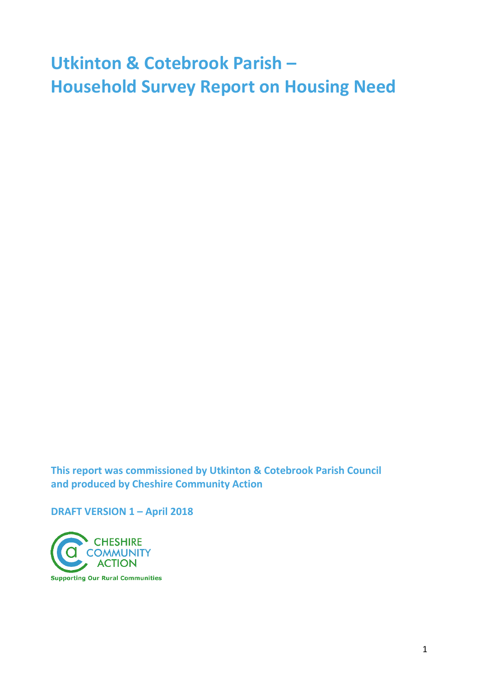# **Utkinton & Cotebrook Parish – Household Survey Report on Housing Need**

**This report was commissioned by Utkinton & Cotebrook Parish Council and produced by Cheshire Community Action** 

**DRAFT VERSION 1 – April 2018**

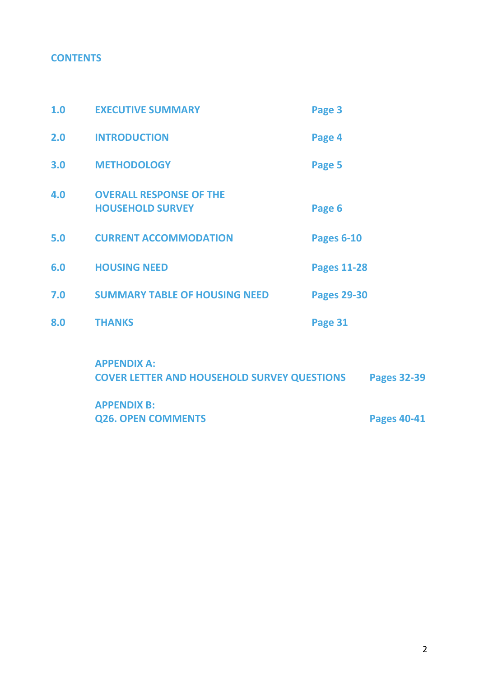## **CONTENTS**

| 1.0 | <b>EXECUTIVE SUMMARY</b>                                  | Page 3             |
|-----|-----------------------------------------------------------|--------------------|
| 2.0 | <b>INTRODUCTION</b>                                       | Page 4             |
| 3.0 | <b>METHODOLOGY</b>                                        | Page 5             |
| 4.0 | <b>OVERALL RESPONSE OF THE</b><br><b>HOUSEHOLD SURVEY</b> | Page 6             |
| 5.0 | <b>CURRENT ACCOMMODATION</b>                              | <b>Pages 6-10</b>  |
| 6.0 | <b>HOUSING NEED</b>                                       | <b>Pages 11-28</b> |
| 7.0 | <b>SUMMARY TABLE OF HOUSING NEED</b>                      | <b>Pages 29-30</b> |
| 8.0 | <b>THANKS</b>                                             | Page 31            |
|     | ADDENINIVA.                                               |                    |

**APPENDIX A: COVER LETTER AND HOUSEHOLD SURVEY QUESTIONS Pages 32-39**

**APPENDIX B: Q26. OPEN COMMENTS Pages 40-41**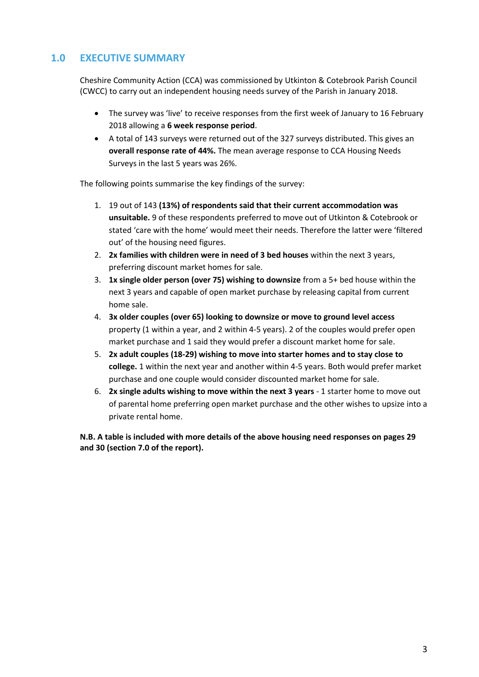## **1.0 EXECUTIVE SUMMARY**

Cheshire Community Action (CCA) was commissioned by Utkinton & Cotebrook Parish Council (CWCC) to carry out an independent housing needs survey of the Parish in January 2018.

- The survey was 'live' to receive responses from the first week of January to 16 February 2018 allowing a **6 week response period**.
- A total of 143 surveys were returned out of the 327 surveys distributed. This gives an **overall response rate of 44%.** The mean average response to CCA Housing Needs Surveys in the last 5 years was 26%.

The following points summarise the key findings of the survey:

- 1. 19 out of 143 **(13%) of respondents said that their current accommodation was unsuitable.** 9 of these respondents preferred to move out of Utkinton & Cotebrook or stated 'care with the home' would meet their needs. Therefore the latter were 'filtered out' of the housing need figures.
- 2. **2x families with children were in need of 3 bed houses** within the next 3 years, preferring discount market homes for sale.
- 3. **1x single older person (over 75) wishing to downsize** from a 5+ bed house within the next 3 years and capable of open market purchase by releasing capital from current home sale.
- 4. **3x older couples (over 65) looking to downsize or move to ground level access** property (1 within a year, and 2 within 4-5 years). 2 of the couples would prefer open market purchase and 1 said they would prefer a discount market home for sale.
- 5. **2x adult couples (18-29) wishing to move into starter homes and to stay close to college.** 1 within the next year and another within 4-5 years. Both would prefer market purchase and one couple would consider discounted market home for sale.
- 6. **2x single adults wishing to move within the next 3 years**  1 starter home to move out of parental home preferring open market purchase and the other wishes to upsize into a private rental home.

**N.B. A table is included with more details of the above housing need responses on pages 29 and 30 (section 7.0 of the report).**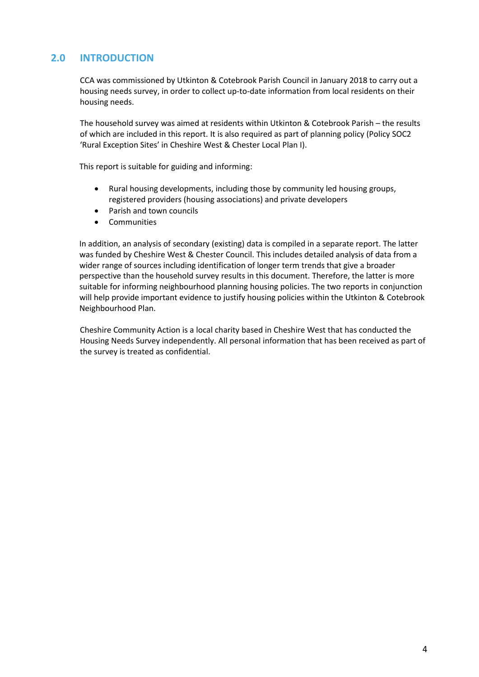## **2.0 INTRODUCTION**

CCA was commissioned by Utkinton & Cotebrook Parish Council in January 2018 to carry out a housing needs survey, in order to collect up-to-date information from local residents on their housing needs.

The household survey was aimed at residents within Utkinton & Cotebrook Parish – the results of which are included in this report. It is also required as part of planning policy (Policy SOC2 'Rural Exception Sites' in Cheshire West & Chester Local Plan I).

This report is suitable for guiding and informing:

- Rural housing developments, including those by community led housing groups, registered providers (housing associations) and private developers
- Parish and town councils
- **•** Communities

In addition, an analysis of secondary (existing) data is compiled in a separate report. The latter was funded by Cheshire West & Chester Council. This includes detailed analysis of data from a wider range of sources including identification of longer term trends that give a broader perspective than the household survey results in this document. Therefore, the latter is more suitable for informing neighbourhood planning housing policies. The two reports in conjunction will help provide important evidence to justify housing policies within the Utkinton & Cotebrook Neighbourhood Plan.

Cheshire Community Action is a local charity based in Cheshire West that has conducted the Housing Needs Survey independently. All personal information that has been received as part of the survey is treated as confidential.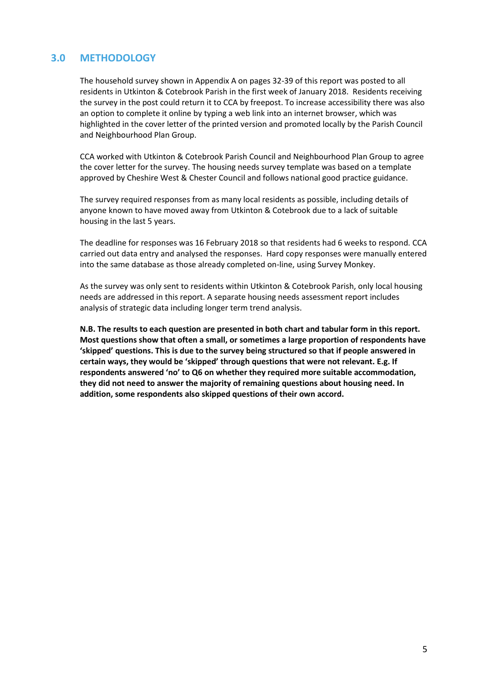## **3.0 METHODOLOGY**

The household survey shown in Appendix A on pages 32-39 of this report was posted to all residents in Utkinton & Cotebrook Parish in the first week of January 2018. Residents receiving the survey in the post could return it to CCA by freepost. To increase accessibility there was also an option to complete it online by typing a web link into an internet browser, which was highlighted in the cover letter of the printed version and promoted locally by the Parish Council and Neighbourhood Plan Group.

CCA worked with Utkinton & Cotebrook Parish Council and Neighbourhood Plan Group to agree the cover letter for the survey. The housing needs survey template was based on a template approved by Cheshire West & Chester Council and follows national good practice guidance.

The survey required responses from as many local residents as possible, including details of anyone known to have moved away from Utkinton & Cotebrook due to a lack of suitable housing in the last 5 years.

The deadline for responses was 16 February 2018 so that residents had 6 weeks to respond. CCA carried out data entry and analysed the responses. Hard copy responses were manually entered into the same database as those already completed on-line, using Survey Monkey.

As the survey was only sent to residents within Utkinton & Cotebrook Parish, only local housing needs are addressed in this report. A separate housing needs assessment report includes analysis of strategic data including longer term trend analysis.

**N.B. The results to each question are presented in both chart and tabular form in this report. Most questions show that often a small, or sometimes a large proportion of respondents have 'skipped' questions. This is due to the survey being structured so that if people answered in certain ways, they would be 'skipped' through questions that were not relevant. E.g. If respondents answered 'no' to Q6 on whether they required more suitable accommodation, they did not need to answer the majority of remaining questions about housing need. In addition, some respondents also skipped questions of their own accord.**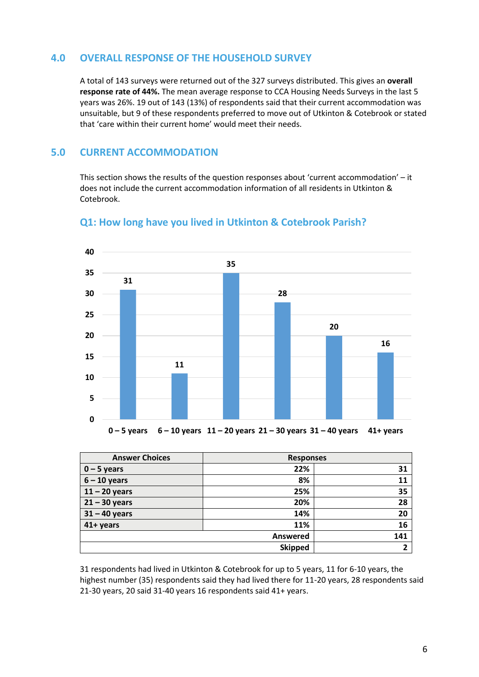#### **4.0 OVERALL RESPONSE OF THE HOUSEHOLD SURVEY**

A total of 143 surveys were returned out of the 327 surveys distributed. This gives an **overall response rate of 44%.** The mean average response to CCA Housing Needs Surveys in the last 5 years was 26%. 19 out of 143 (13%) of respondents said that their current accommodation was unsuitable, but 9 of these respondents preferred to move out of Utkinton & Cotebrook or stated that 'care within their current home' would meet their needs.

#### **5.0 CURRENT ACCOMMODATION**

This section shows the results of the question responses about 'current accommodation' – it does not include the current accommodation information of all residents in Utkinton & Cotebrook.



#### **Q1: How long have you lived in Utkinton & Cotebrook Parish?**

**0 – 5 years 6 – 10 years 11 – 20 years 21 – 30 years 31 – 40 years 41+ years**

| <b>Answer Choices</b> | <b>Responses</b> |              |
|-----------------------|------------------|--------------|
| $0 - 5$ years         | 22%              | 31           |
| $6 - 10$ years        | 8%               | 11           |
| $11 - 20$ years       | 25%              | 35           |
| $21 - 30$ years       | 20%              | 28           |
| $31 - 40$ years       | 14%              | 20           |
| 41+ years             | 11%              | 16           |
|                       | Answered         | 141          |
|                       | <b>Skipped</b>   | $\mathbf{r}$ |

31 respondents had lived in Utkinton & Cotebrook for up to 5 years, 11 for 6-10 years, the highest number (35) respondents said they had lived there for 11-20 years, 28 respondents said 21-30 years, 20 said 31-40 years 16 respondents said 41+ years.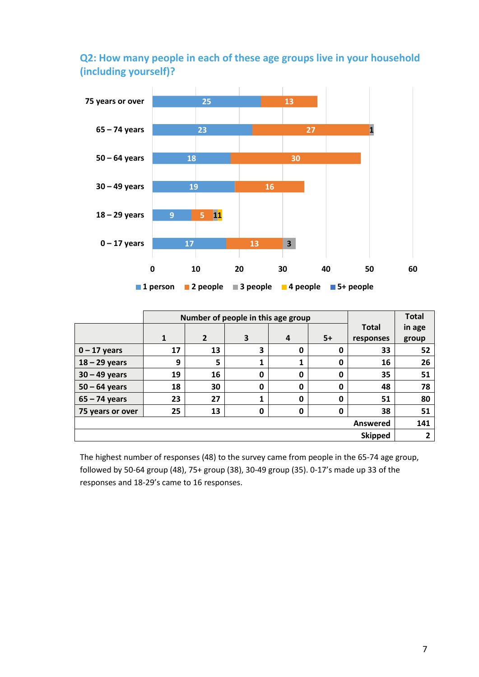## **Q2: How many people in each of these age groups live in your household (including yourself)?**



|                  |    | Number of people in this age group |   | <b>Total</b> |      |              |        |
|------------------|----|------------------------------------|---|--------------|------|--------------|--------|
|                  |    |                                    |   |              |      | <b>Total</b> | in age |
|                  | 1  | $\overline{2}$                     | 3 | 4            | $5+$ | responses    | group  |
| $0 - 17$ years   | 17 | 13                                 | 3 | 0            | 0    | 33           | 52     |
| $18 - 29$ years  | 9  | 5                                  |   |              | 0    | 16           | 26     |
| $30 - 49$ years  | 19 | 16                                 | 0 | 0            | 0    | 35           | 51     |
| $50 - 64$ years  | 18 | 30                                 | 0 | 0            | 0    | 48           | 78     |
| $65 - 74$ years  | 23 | 27                                 |   | 0            | 0    | 51           | 80     |
| 75 years or over | 25 | 13                                 | 0 | 0            | 0    | 38           | 51     |
| <b>Answered</b>  |    |                                    |   |              |      |              | 141    |
| <b>Skipped</b>   |    |                                    |   |              | 2    |              |        |

The highest number of responses (48) to the survey came from people in the 65-74 age group, followed by 50-64 group (48), 75+ group (38), 30-49 group (35). 0-17's made up 33 of the responses and 18-29's came to 16 responses.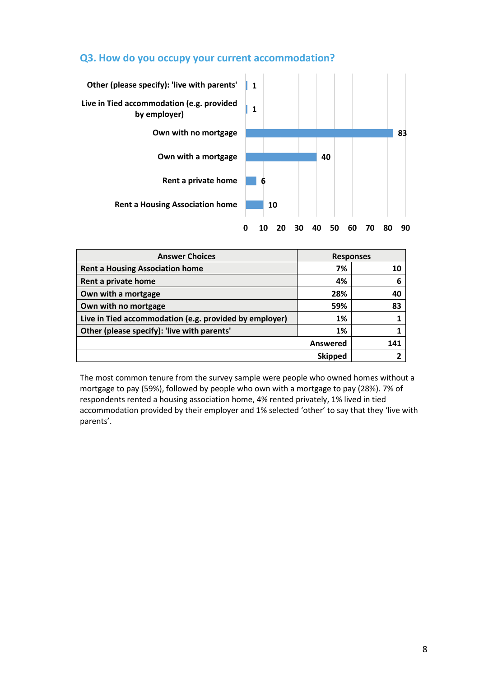#### **Q3. How do you occupy your current accommodation?**



| <b>Answer Choices</b>                                  | <b>Responses</b> |     |  |
|--------------------------------------------------------|------------------|-----|--|
| <b>Rent a Housing Association home</b>                 | 7%               | 10  |  |
| Rent a private home                                    | 4%               | 6   |  |
| Own with a mortgage                                    | 28%              | 40  |  |
| Own with no mortgage                                   | 59%              | 83  |  |
| Live in Tied accommodation (e.g. provided by employer) | 1%               |     |  |
| Other (please specify): 'live with parents'<br>1%      |                  |     |  |
| <b>Answered</b>                                        |                  | 141 |  |
|                                                        | <b>Skipped</b>   |     |  |

The most common tenure from the survey sample were people who owned homes without a mortgage to pay (59%), followed by people who own with a mortgage to pay (28%). 7% of respondents rented a housing association home, 4% rented privately, 1% lived in tied accommodation provided by their employer and 1% selected 'other' to say that they 'live with parents'.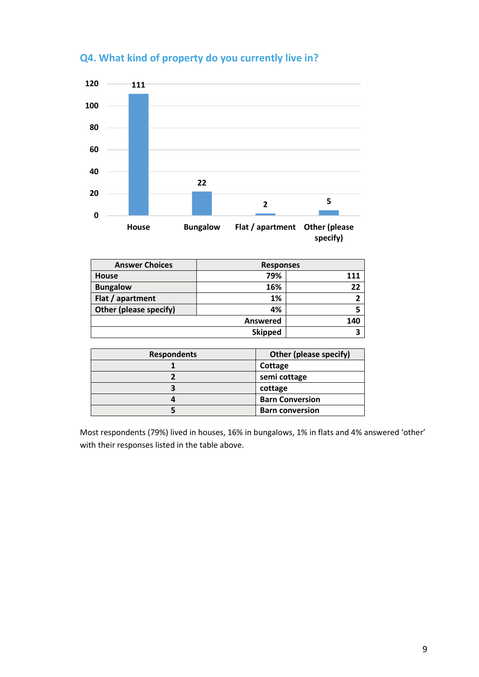

## **Q4. What kind of property do you currently live in?**

| <b>Answer Choices</b>  | <b>Responses</b> |     |  |
|------------------------|------------------|-----|--|
| <b>House</b>           | 79%              | 111 |  |
| <b>Bungalow</b>        | 16%              | 22  |  |
| Flat / apartment       | 1%               |     |  |
| Other (please specify) | 4%               |     |  |
|                        | Answered         | 140 |  |
|                        | З                |     |  |

| <b>Respondents</b> | Other (please specify) |
|--------------------|------------------------|
|                    | Cottage                |
|                    | semi cottage           |
|                    | cottage                |
|                    | <b>Barn Conversion</b> |
|                    | <b>Barn conversion</b> |

Most respondents (79%) lived in houses, 16% in bungalows, 1% in flats and 4% answered 'other' with their responses listed in the table above.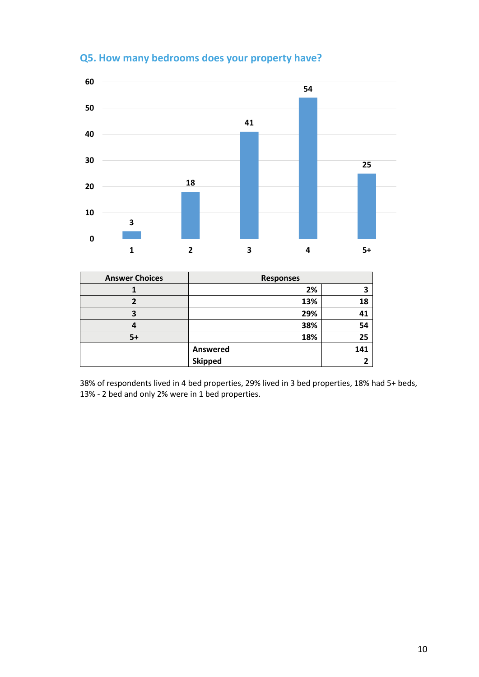

## **Q5. How many bedrooms does your property have?**

| <b>Answer Choices</b> | <b>Responses</b> |     |
|-----------------------|------------------|-----|
|                       | 2%               |     |
|                       | 13%              | 18  |
|                       | 29%              | 41  |
|                       | 38%              | 54  |
| 5+                    | 18%              | 25  |
|                       | Answered         | 141 |
|                       | <b>Skipped</b>   |     |

38% of respondents lived in 4 bed properties, 29% lived in 3 bed properties, 18% had 5+ beds, 13% - 2 bed and only 2% were in 1 bed properties.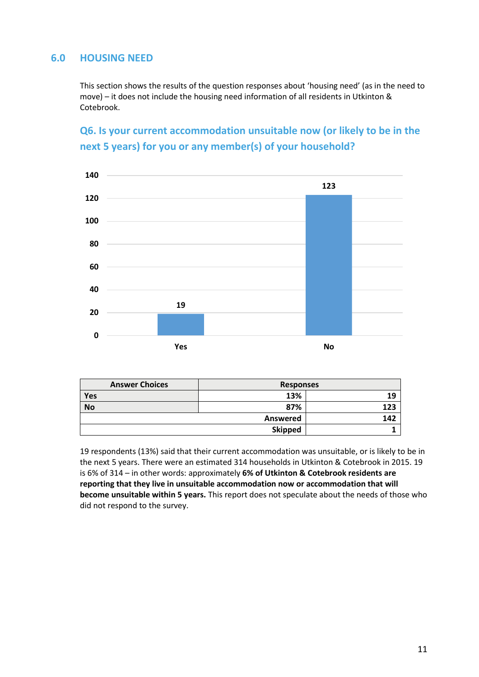## **6.0 HOUSING NEED**

This section shows the results of the question responses about 'housing need' (as in the need to move) – it does not include the housing need information of all residents in Utkinton & Cotebrook.

## **Q6. Is your current accommodation unsuitable now (or likely to be in the next 5 years) for you or any member(s) of your household?**



| <b>Answer Choices</b> | <b>Responses</b> |     |
|-----------------------|------------------|-----|
| Yes                   | 13%              | 19  |
| <b>No</b>             | 87%              | 123 |
|                       | Answered         | 142 |
|                       | <b>Skipped</b>   |     |

19 respondents (13%) said that their current accommodation was unsuitable, or is likely to be in the next 5 years. There were an estimated 314 households in Utkinton & Cotebrook in 2015. 19 is 6% of 314 – in other words: approximately **6% of Utkinton & Cotebrook residents are reporting that they live in unsuitable accommodation now or accommodation that will become unsuitable within 5 years.** This report does not speculate about the needs of those who did not respond to the survey.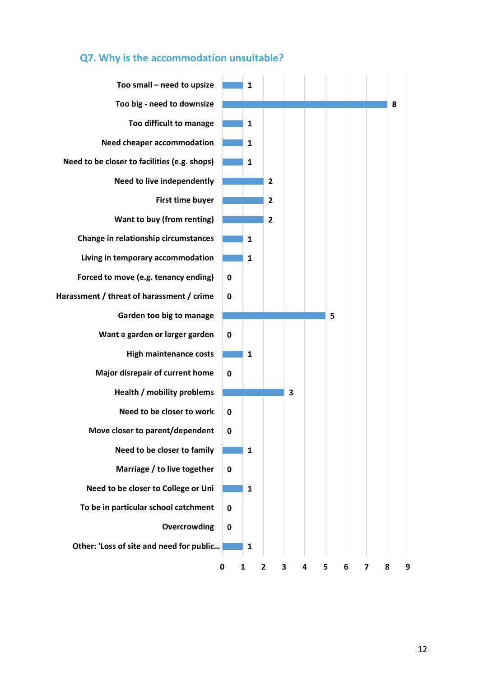

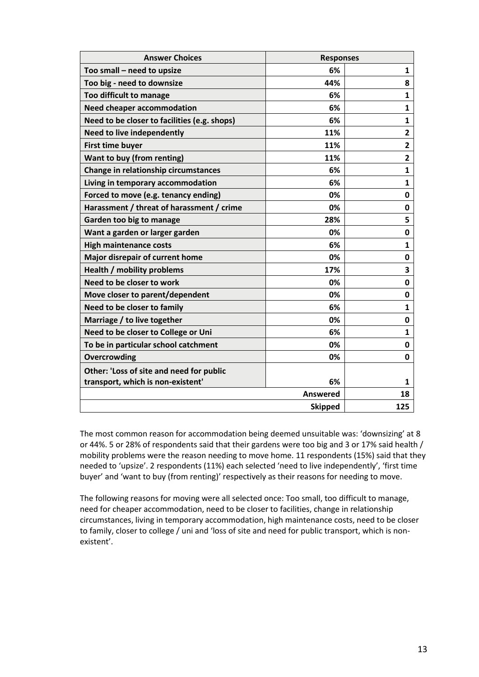| <b>Answer Choices</b>                        | <b>Responses</b> |                         |
|----------------------------------------------|------------------|-------------------------|
| Too small - need to upsize                   | 6%               | 1                       |
| Too big - need to downsize                   | 44%              | 8                       |
| Too difficult to manage                      | 6%               | 1                       |
| <b>Need cheaper accommodation</b>            | 6%               | $\mathbf{1}$            |
| Need to be closer to facilities (e.g. shops) | 6%               | $\mathbf{1}$            |
| <b>Need to live independently</b>            | 11%              | $\overline{2}$          |
| <b>First time buyer</b>                      | 11%              | 2                       |
| Want to buy (from renting)                   | 11%              | $\overline{\mathbf{2}}$ |
| Change in relationship circumstances         | 6%               | $\mathbf{1}$            |
| Living in temporary accommodation            | 6%               | $\mathbf{1}$            |
| Forced to move (e.g. tenancy ending)         | 0%               | 0                       |
| Harassment / threat of harassment / crime    | 0%               | 0                       |
| Garden too big to manage                     | 28%              | 5                       |
| Want a garden or larger garden               | 0%               | 0                       |
| <b>High maintenance costs</b>                | 6%               | $\mathbf{1}$            |
| Major disrepair of current home              | 0%               | 0                       |
| <b>Health / mobility problems</b>            | 17%              | 3                       |
| Need to be closer to work                    | 0%               | 0                       |
| Move closer to parent/dependent              | 0%               | 0                       |
| Need to be closer to family                  | 6%               | $\mathbf{1}$            |
| Marriage / to live together                  | 0%               | 0                       |
| Need to be closer to College or Uni          | 6%               | $\mathbf{1}$            |
| To be in particular school catchment         | 0%               | 0                       |
| Overcrowding                                 | 0%               | 0                       |
| Other: 'Loss of site and need for public     |                  |                         |
| transport, which is non-existent'            | 6%               | 1                       |
|                                              | <b>Answered</b>  | 18                      |
|                                              | <b>Skipped</b>   | 125                     |

The most common reason for accommodation being deemed unsuitable was: 'downsizing' at 8 or 44%. 5 or 28% of respondents said that their gardens were too big and 3 or 17% said health / mobility problems were the reason needing to move home. 11 respondents (15%) said that they needed to 'upsize'. 2 respondents (11%) each selected 'need to live independently', 'first time buyer' and 'want to buy (from renting)' respectively as their reasons for needing to move.

The following reasons for moving were all selected once: Too small, too difficult to manage, need for cheaper accommodation, need to be closer to facilities, change in relationship circumstances, living in temporary accommodation, high maintenance costs, need to be closer to family, closer to college / uni and 'loss of site and need for public transport, which is nonexistent'.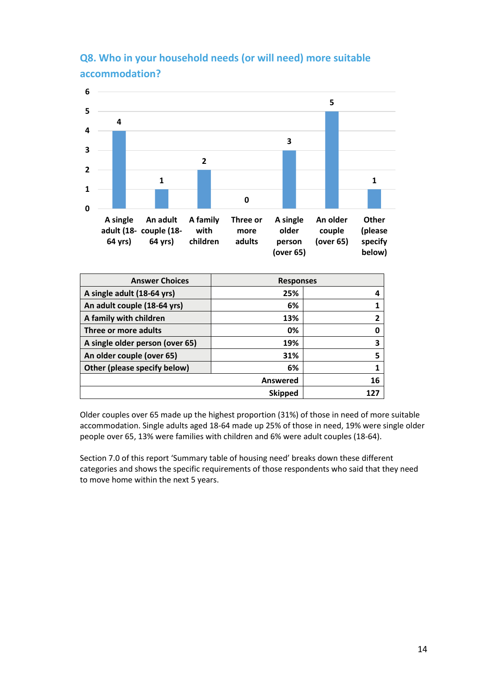

# **Q8. Who in your household needs (or will need) more suitable accommodation?**

| <b>Answer Choices</b>           | <b>Responses</b> |              |
|---------------------------------|------------------|--------------|
| A single adult (18-64 yrs)      | 25%              | 4            |
| An adult couple (18-64 yrs)     | 6%               |              |
| A family with children          | 13%              | $\mathbf{2}$ |
| Three or more adults            | 0%               | 0            |
| A single older person (over 65) | 19%              | 3            |
| An older couple (over 65)       | 31%              | 5            |
| Other (please specify below)    | 6%               | 1            |
|                                 | Answered         | 16           |
|                                 | <b>Skipped</b>   | 177          |
|                                 |                  |              |

Older couples over 65 made up the highest proportion (31%) of those in need of more suitable accommodation. Single adults aged 18-64 made up 25% of those in need, 19% were single older people over 65, 13% were families with children and 6% were adult couples (18-64).

Section 7.0 of this report 'Summary table of housing need' breaks down these different categories and shows the specific requirements of those respondents who said that they need to move home within the next 5 years.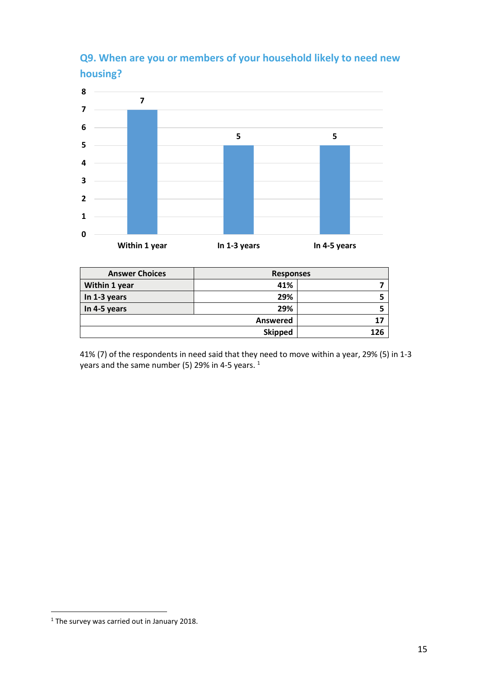# **Q9. When are you or members of your household likely to need new housing?**



| <b>Answer Choices</b> | <b>Responses</b> |  |
|-----------------------|------------------|--|
| Within 1 year         | 41%              |  |
| In 1-3 years          | 29%              |  |
| In 4-5 years          | 29%              |  |
|                       |                  |  |
|                       | 126              |  |

41% (7) of the respondents in need said that they need to move within a year, 29% (5) in 1-3 years and the same number (5) 29% in 4-5 years.  $^1$ 

**.** 

<sup>&</sup>lt;sup>1</sup> The survey was carried out in January 2018.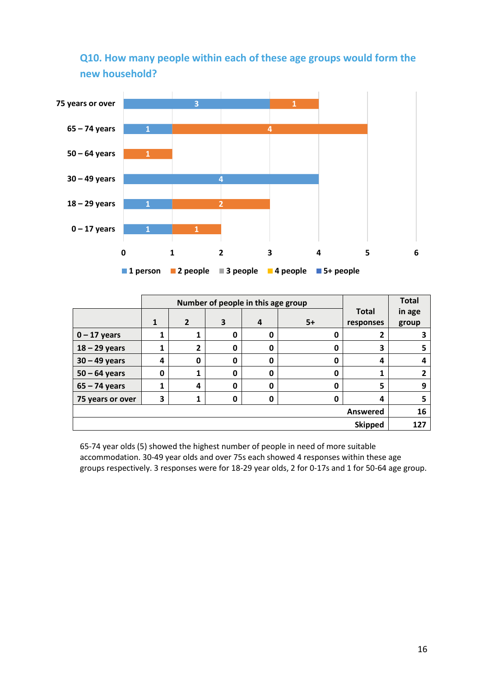![](_page_15_Figure_0.jpeg)

## **Q10. How many people within each of these age groups would form the new household?**

| Number of people in this age group |                |                |             |   |          | <b>Total</b> |        |
|------------------------------------|----------------|----------------|-------------|---|----------|--------------|--------|
|                                    |                |                |             |   |          | <b>Total</b> | in age |
|                                    | 1              | $\overline{2}$ | 3           | 4 | $5+$     | responses    | group  |
| $0 - 17$ years                     |                |                | 0           | 0 | 0        | 2            |        |
| $18 - 29$ years                    |                | 2              | 0           | 0 | 0        | 3            |        |
| $30 - 49$ years                    | 4              | 0              | 0           | 0 | 0        | 4            |        |
| $50 - 64$ years                    | 0              | 1              | 0           | 0 | 0        | 1            |        |
| $65 - 74$ years                    |                | 4              | 0           | 0 | 0        | 5            | 9      |
| 75 years or over                   | 3              | 1              | $\mathbf 0$ | 0 | 0        | 4            | 5      |
|                                    |                |                |             |   | Answered | 16           |        |
|                                    | <b>Skipped</b> |                |             |   |          | 127          |        |

65-74 year olds (5) showed the highest number of people in need of more suitable accommodation. 30-49 year olds and over 75s each showed 4 responses within these age groups respectively. 3 responses were for 18-29 year olds, 2 for 0-17s and 1 for 50-64 age group.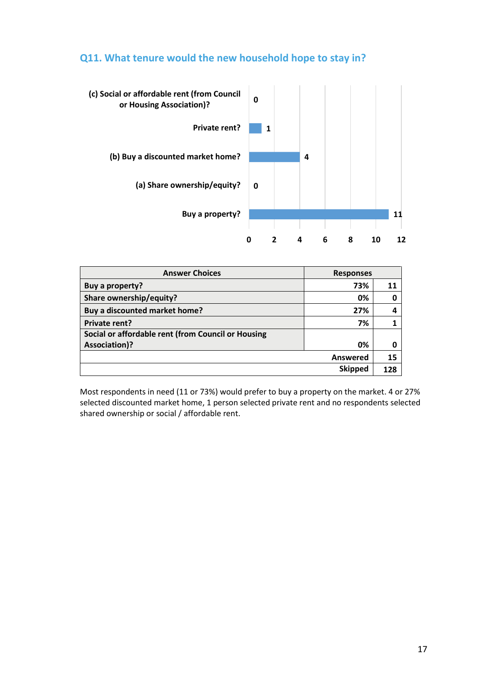#### **Q11. What tenure would the new household hope to stay in?**

![](_page_16_Figure_1.jpeg)

| <b>Answer Choices</b><br><b>Responses</b>          |                 |     |
|----------------------------------------------------|-----------------|-----|
| Buy a property?                                    | 73%             |     |
| Share ownership/equity?                            | 0%              |     |
| Buy a discounted market home?                      | 27%             |     |
| Private rent?                                      | 7%              |     |
| Social or affordable rent (from Council or Housing |                 |     |
| <b>Association)?</b>                               | 0%              |     |
|                                                    | <b>Answered</b> | 15  |
|                                                    | <b>Skipped</b>  | 128 |

Most respondents in need (11 or 73%) would prefer to buy a property on the market. 4 or 27% selected discounted market home, 1 person selected private rent and no respondents selected shared ownership or social / affordable rent.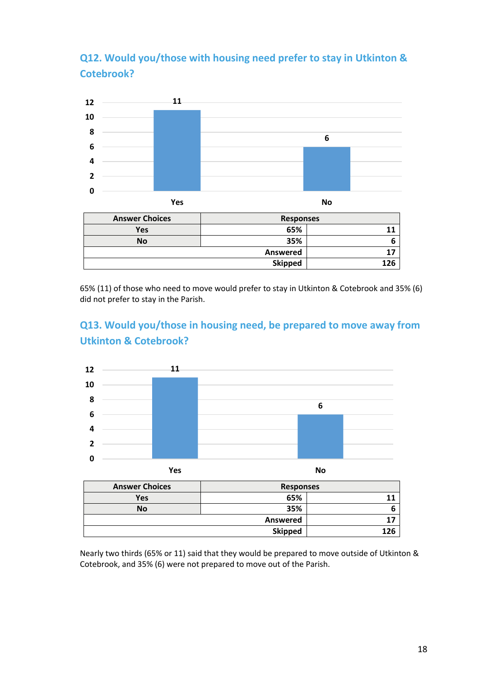# **Q12. Would you/those with housing need prefer to stay in Utkinton & Cotebrook?**

![](_page_17_Figure_1.jpeg)

65% (11) of those who need to move would prefer to stay in Utkinton & Cotebrook and 35% (6) did not prefer to stay in the Parish.

## **Q13. Would you/those in housing need, be prepared to move away from Utkinton & Cotebrook?**

![](_page_17_Figure_4.jpeg)

Nearly two thirds (65% or 11) said that they would be prepared to move outside of Utkinton & Cotebrook, and 35% (6) were not prepared to move out of the Parish.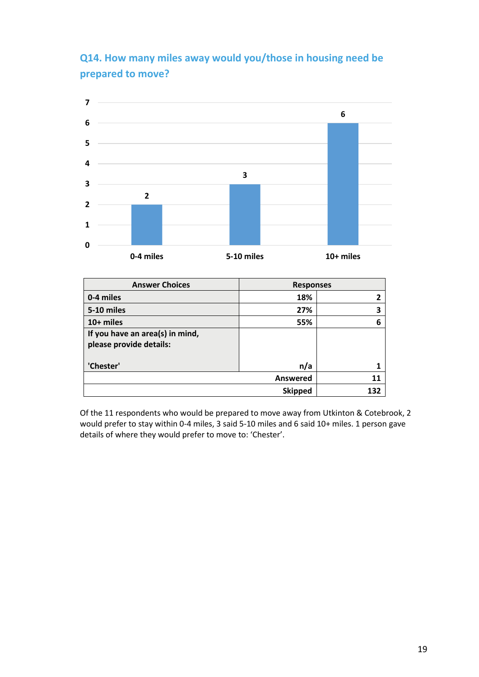# **Q14. How many miles away would you/those in housing need be prepared to move?**

![](_page_18_Figure_1.jpeg)

| <b>Answer Choices</b>                                      | <b>Responses</b> |     |
|------------------------------------------------------------|------------------|-----|
| 0-4 miles                                                  | 18%              |     |
| 5-10 miles                                                 | 27%              | 3   |
| 10+ miles                                                  | 55%              | 6   |
| If you have an area(s) in mind,<br>please provide details: |                  |     |
| 'Chester'                                                  | n/a              |     |
|                                                            | Answered         | 11  |
|                                                            | <b>Skipped</b>   | 132 |

Of the 11 respondents who would be prepared to move away from Utkinton & Cotebrook, 2 would prefer to stay within 0-4 miles, 3 said 5-10 miles and 6 said 10+ miles. 1 person gave details of where they would prefer to move to: 'Chester'.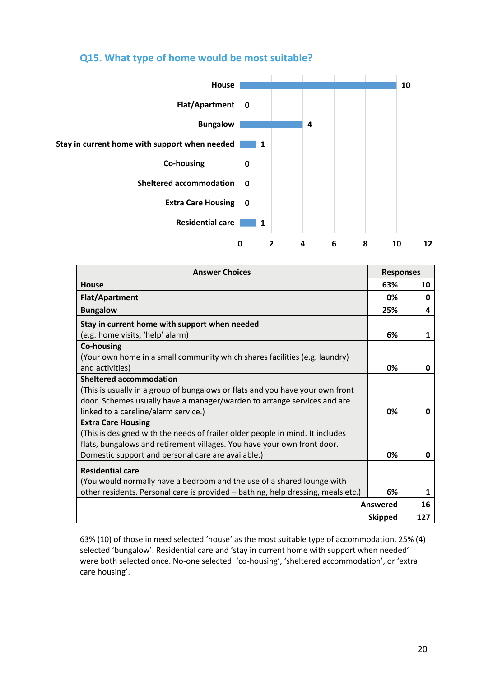### **Q15. What type of home would be most suitable?**

![](_page_19_Figure_1.jpeg)

| <b>Answer Choices</b>                                                            | <b>Responses</b> |     |
|----------------------------------------------------------------------------------|------------------|-----|
| House                                                                            | 63%              | 10  |
| <b>Flat/Apartment</b>                                                            | 0%               | 0   |
| <b>Bungalow</b>                                                                  | 25%              | 4   |
| Stay in current home with support when needed                                    |                  |     |
| (e.g. home visits, 'help' alarm)                                                 | 6%               | 1   |
| <b>Co-housing</b>                                                                |                  |     |
| (Your own home in a small community which shares facilities (e.g. laundry)       |                  |     |
| and activities)                                                                  | 0%               | 0   |
| <b>Sheltered accommodation</b>                                                   |                  |     |
| (This is usually in a group of bungalows or flats and you have your own front    |                  |     |
| door. Schemes usually have a manager/warden to arrange services and are          |                  |     |
| linked to a careline/alarm service.)                                             | 0%               | O   |
| <b>Extra Care Housing</b>                                                        |                  |     |
| (This is designed with the needs of frailer older people in mind. It includes    |                  |     |
| flats, bungalows and retirement villages. You have your own front door.          |                  |     |
| Domestic support and personal care are available.)                               | 0%               | 0   |
| <b>Residential care</b>                                                          |                  |     |
| (You would normally have a bedroom and the use of a shared lounge with           |                  |     |
| other residents. Personal care is provided - bathing, help dressing, meals etc.) | 6%               | 1   |
|                                                                                  | Answered         | 16  |
|                                                                                  | <b>Skipped</b>   | 127 |

63% (10) of those in need selected 'house' as the most suitable type of accommodation. 25% (4) selected 'bungalow'. Residential care and 'stay in current home with support when needed' were both selected once. No-one selected: 'co-housing', 'sheltered accommodation', or 'extra care housing'.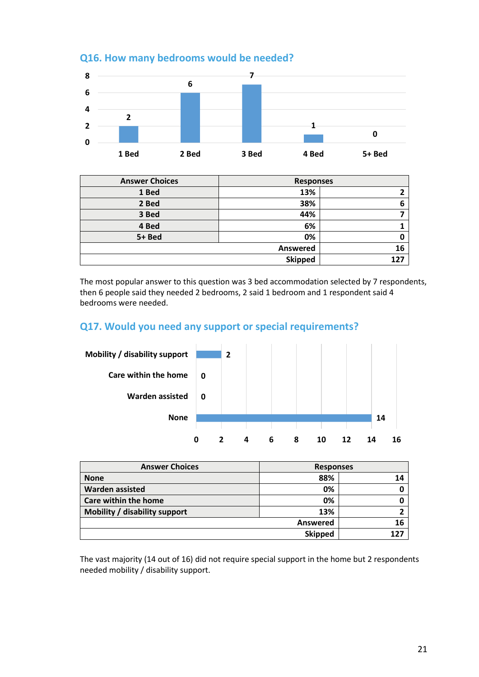![](_page_20_Figure_0.jpeg)

## **Q16. How many bedrooms would be needed?**

| <b>Answer Choices</b> | <b>Responses</b> |     |
|-----------------------|------------------|-----|
| 1 Bed                 | 13%              |     |
| 2 Bed                 | 38%              | 6   |
| 3 Bed                 | 44%              |     |
| 4 Bed                 | 6%               |     |
| 5+ Bed                | 0%               |     |
|                       | <b>Answered</b>  | 16  |
|                       | <b>Skipped</b>   | 127 |

The most popular answer to this question was 3 bed accommodation selected by 7 respondents, then 6 people said they needed 2 bedrooms, 2 said 1 bedroom and 1 respondent said 4 bedrooms were needed.

## **Q17. Would you need any support or special requirements?**

![](_page_20_Figure_5.jpeg)

| <b>Answer Choices</b>         | <b>Responses</b> |       |
|-------------------------------|------------------|-------|
| <b>None</b>                   | 88%              |       |
| <b>Warden assisted</b>        | 0%               |       |
| <b>Care within the home</b>   | 0%               |       |
| Mobility / disability support | 13%              |       |
| Answered                      |                  | 16    |
|                               | <b>Skipped</b>   | 1 2 7 |

The vast majority (14 out of 16) did not require special support in the home but 2 respondents needed mobility / disability support.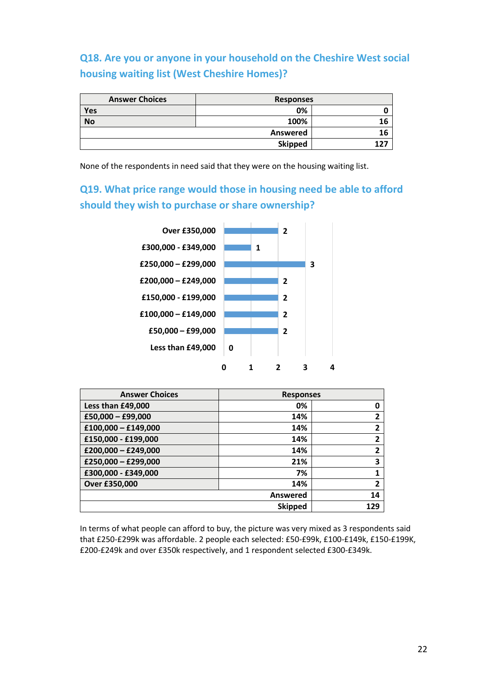**Q18. Are you or anyone in your household on the Cheshire West social housing waiting list (West Cheshire Homes)?**

| <b>Answer Choices</b> | <b>Responses</b> |    |
|-----------------------|------------------|----|
| Yes                   | 0%               |    |
| <b>No</b>             | 100%             |    |
|                       | Answered         | 16 |
|                       | <b>Skipped</b>   |    |

None of the respondents in need said that they were on the housing waiting list.

**Q19. What price range would those in housing need be able to afford should they wish to purchase or share ownership?**

![](_page_21_Figure_4.jpeg)

| <b>Answer Choices</b> | <b>Responses</b> |                |
|-----------------------|------------------|----------------|
| Less than £49,000     | 0%               | 0              |
| £50,000 - £99,000     | 14%              | 2              |
| $£100,000 - £149,000$ | 14%              | 2              |
| £150,000 - £199,000   | 14%              | $\overline{2}$ |
| $£200,000 - £249,000$ | 14%              | 2              |
| £250,000 - £299,000   | 21%              | 3              |
| £300,000 - £349,000   | 7%               | 1              |
| Over £350,000         | 14%              | $\overline{2}$ |
|                       | Answered         | 14             |
|                       | <b>Skipped</b>   | 129            |

In terms of what people can afford to buy, the picture was very mixed as 3 respondents said that £250-£299k was affordable. 2 people each selected: £50-£99k, £100-£149k, £150-£199K, £200-£249k and over £350k respectively, and 1 respondent selected £300-£349k.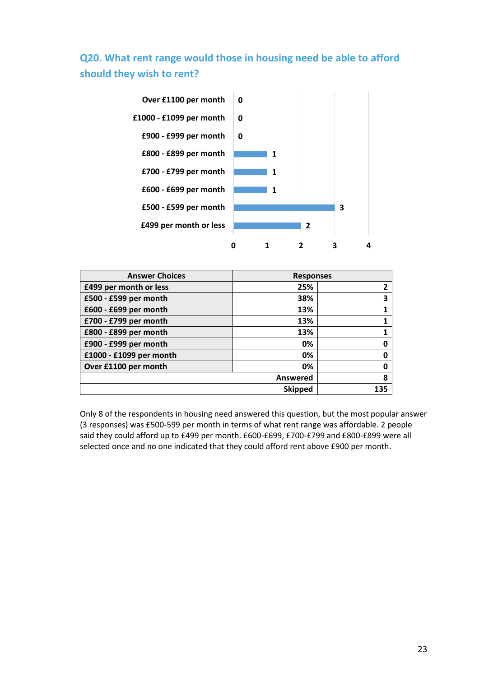# **Q20. What rent range would those in housing need be able to afford should they wish to rent?**

![](_page_22_Figure_1.jpeg)

| <b>Answer Choices</b>   | <b>Responses</b> |     |
|-------------------------|------------------|-----|
| £499 per month or less  | 25%              |     |
| £500 - £599 per month   | 38%              | 3   |
| £600 - £699 per month   | 13%              |     |
| £700 - £799 per month   | 13%              |     |
| £800 - £899 per month   | 13%              |     |
| £900 - £999 per month   | 0%               |     |
| £1000 - £1099 per month | 0%               | Ω   |
| Over £1100 per month    | 0%               |     |
|                         | <b>Answered</b>  | 8   |
|                         | <b>Skipped</b>   | 135 |

Only 8 of the respondents in housing need answered this question, but the most popular answer (3 responses) was £500-599 per month in terms of what rent range was affordable. 2 people said they could afford up to £499 per month. £600-£699, £700-£799 and £800-£899 were all selected once and no one indicated that they could afford rent above £900 per month.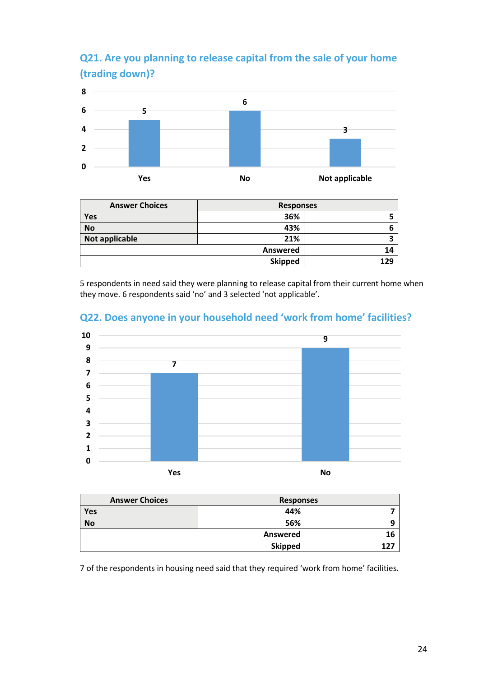# **Q21. Are you planning to release capital from the sale of your home (trading down)?**

![](_page_23_Figure_1.jpeg)

| <b>Answer Choices</b> | <b>Responses</b> |     |
|-----------------------|------------------|-----|
| Yes                   | 36%              |     |
| <b>No</b>             | 43%              |     |
| Not applicable        | 21%              |     |
| Answered              |                  | 14  |
|                       | <b>Skipped</b>   | 129 |

5 respondents in need said they were planning to release capital from their current home when they move. 6 respondents said 'no' and 3 selected 'not applicable'.

![](_page_23_Figure_4.jpeg)

## **Q22. Does anyone in your household need 'work from home' facilities?**

| <b>Answer Choices</b> | <b>Responses</b> |        |
|-----------------------|------------------|--------|
| Yes                   | 44%              |        |
| <b>No</b>             | 56%              |        |
|                       | Answered         | 16     |
|                       | <b>Skipped</b>   | $12^-$ |

7 of the respondents in housing need said that they required 'work from home' facilities.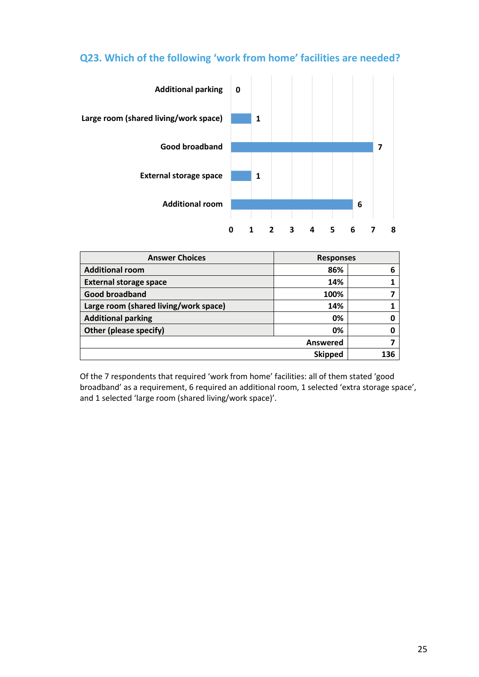## **Q23. Which of the following 'work from home' facilities are needed?**

![](_page_24_Figure_1.jpeg)

| <b>Answer Choices</b>                 | <b>Responses</b> |     |
|---------------------------------------|------------------|-----|
| <b>Additional room</b>                | 86%              | 6   |
| <b>External storage space</b>         | 14%              |     |
| <b>Good broadband</b>                 | 100%             |     |
| Large room (shared living/work space) | 14%              |     |
| <b>Additional parking</b>             | 0%               |     |
| Other (please specify)                | 0%               |     |
| <b>Answered</b>                       |                  |     |
| <b>Skipped</b>                        |                  | 136 |

Of the 7 respondents that required 'work from home' facilities: all of them stated 'good broadband' as a requirement, 6 required an additional room, 1 selected 'extra storage space', and 1 selected 'large room (shared living/work space)'.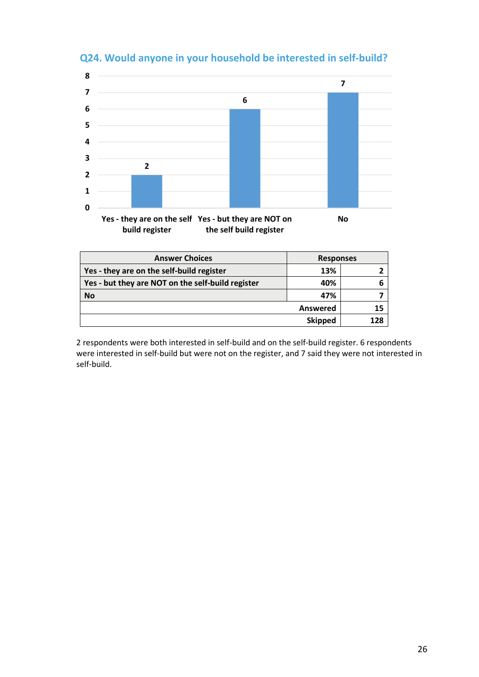![](_page_25_Figure_0.jpeg)

## **Q24. Would anyone in your household be interested in self-build?**

| <b>Answer Choices</b>                             | <b>Responses</b> |     |
|---------------------------------------------------|------------------|-----|
| Yes - they are on the self-build register         | 13%              |     |
| Yes - but they are NOT on the self-build register | 40%              |     |
| <b>No</b>                                         | 47%              |     |
| Answered                                          |                  | 15  |
|                                                   | <b>Skipped</b>   | 128 |

2 respondents were both interested in self-build and on the self-build register. 6 respondents were interested in self-build but were not on the register, and 7 said they were not interested in self-build.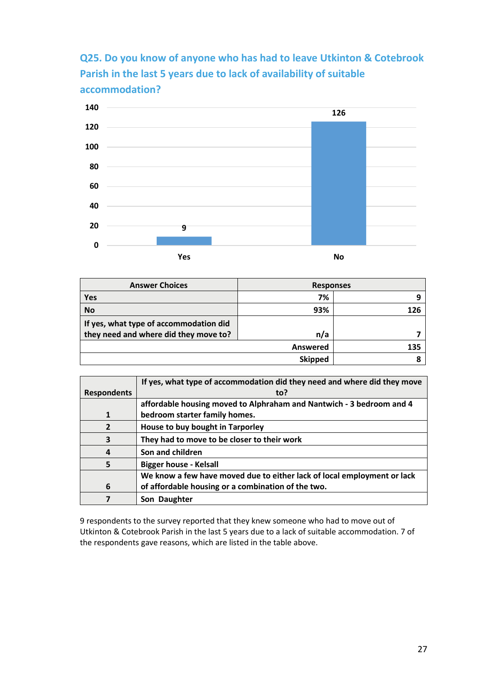**Q25. Do you know of anyone who has had to leave Utkinton & Cotebrook Parish in the last 5 years due to lack of availability of suitable accommodation?**

![](_page_26_Figure_1.jpeg)

| <b>Answer Choices</b>                  | <b>Responses</b> |     |
|----------------------------------------|------------------|-----|
| <b>Yes</b>                             | 7%               | q   |
| <b>No</b>                              | 93%              | 126 |
| If yes, what type of accommodation did |                  |     |
| they need and where did they move to?  | n/a              |     |
|                                        | Answered         | 135 |
|                                        | <b>Skipped</b>   |     |

|                    | If yes, what type of accommodation did they need and where did they move |
|--------------------|--------------------------------------------------------------------------|
| <b>Respondents</b> | to?                                                                      |
|                    | affordable housing moved to Alphraham and Nantwich - 3 bedroom and 4     |
| 1                  | bedroom starter family homes.                                            |
| $\overline{2}$     | House to buy bought in Tarporley                                         |
| 3                  | They had to move to be closer to their work                              |
| 4                  | Son and children                                                         |
| 5                  | <b>Bigger house - Kelsall</b>                                            |
|                    | We know a few have moved due to either lack of local employment or lack  |
| 6                  | of affordable housing or a combination of the two.                       |
|                    | Son Daughter                                                             |

9 respondents to the survey reported that they knew someone who had to move out of Utkinton & Cotebrook Parish in the last 5 years due to a lack of suitable accommodation. 7 of the respondents gave reasons, which are listed in the table above.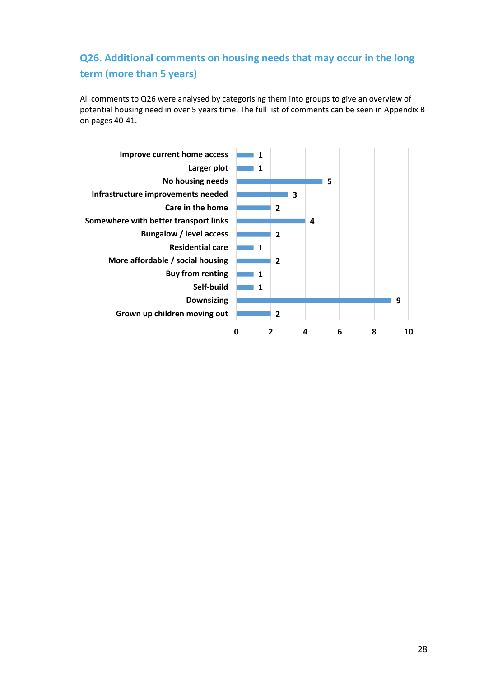# **Q26. Additional comments on housing needs that may occur in the long term (more than 5 years)**

All comments to Q26 were analysed by categorising them into groups to give an overview of potential housing need in over 5 years time. The full list of comments can be seen in Appendix B on pages 40-41.

![](_page_27_Figure_2.jpeg)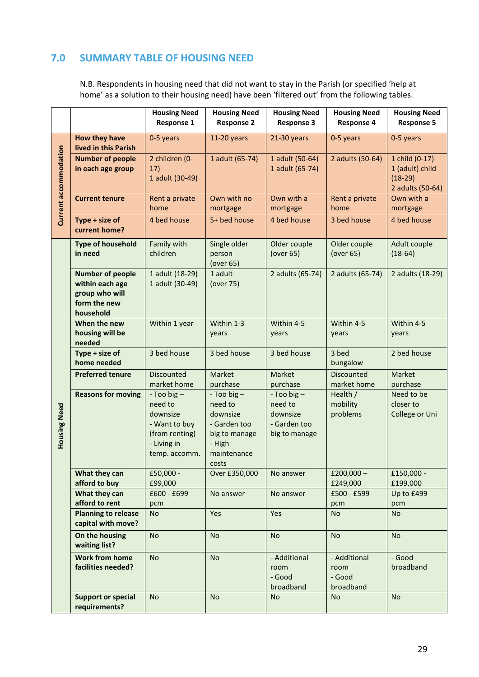## **7.0 SUMMARY TABLE OF HOUSING NEED**

N.B. Respondents in housing need that did not want to stay in the Parish (or specified 'help at home' as a solution to their housing need) have been 'filtered out' from the following tables.

|                       |                                                                                           | <b>Housing Need</b><br><b>Response 1</b>                                                              | <b>Housing Need</b><br><b>Response 2</b>                                                                | <b>Housing Need</b><br><b>Response 3</b>                                | <b>Housing Need</b><br><b>Response 4</b>    | <b>Housing Need</b><br><b>Response 5</b>                           |
|-----------------------|-------------------------------------------------------------------------------------------|-------------------------------------------------------------------------------------------------------|---------------------------------------------------------------------------------------------------------|-------------------------------------------------------------------------|---------------------------------------------|--------------------------------------------------------------------|
|                       | How they have<br>lived in this Parish                                                     | 0-5 years                                                                                             | 11-20 years                                                                                             | $21-30$ years                                                           | 0-5 years                                   | 0-5 years                                                          |
| Current accommodation | <b>Number of people</b><br>in each age group                                              | 2 children (0-<br>17)<br>1 adult (30-49)                                                              | 1 adult (65-74)                                                                                         | 1 adult (50-64)<br>1 adult (65-74)                                      | 2 adults (50-64)                            | 1 child (0-17)<br>1 (adult) child<br>$(18-29)$<br>2 adults (50-64) |
|                       | <b>Current tenure</b>                                                                     | Rent a private<br>home                                                                                | Own with no<br>mortgage                                                                                 | Own with a<br>mortgage                                                  | Rent a private<br>home                      | Own with a<br>mortgage                                             |
|                       | Type + size of<br>current home?                                                           | 4 bed house                                                                                           | 5+ bed house                                                                                            | 4 bed house                                                             | 3 bed house                                 | 4 bed house                                                        |
|                       | <b>Type of household</b><br>in need                                                       | Family with<br>children                                                                               | Single older<br>person<br>(over 65)                                                                     | Older couple<br>(over 65)                                               | Older couple<br>(over 65)                   | Adult couple<br>$(18-64)$                                          |
|                       | <b>Number of people</b><br>within each age<br>group who will<br>form the new<br>household | 1 adult (18-29)<br>1 adult (30-49)                                                                    | 1 adult<br>(over 75)                                                                                    | 2 adults (65-74)                                                        | 2 adults (65-74)                            | 2 adults (18-29)                                                   |
|                       | When the new<br>housing will be<br>needed                                                 | Within 1 year                                                                                         | Within 1-3<br>years                                                                                     | Within 4-5<br>years                                                     | Within 4-5<br>years                         | Within 4-5<br>years                                                |
|                       | Type + size of<br>home needed                                                             | 3 bed house                                                                                           | 3 bed house                                                                                             | 3 bed house                                                             | 3 bed<br>bungalow                           | 2 bed house                                                        |
|                       | <b>Preferred tenure</b>                                                                   | <b>Discounted</b><br>market home                                                                      | Market<br>purchase                                                                                      | Market<br>purchase                                                      | Discounted<br>market home                   | Market<br>purchase                                                 |
| Housing Need          | <b>Reasons for moving</b>                                                                 | - Too big -<br>need to<br>downsize<br>- Want to buy<br>(from renting)<br>- Living in<br>temp. accomm. | - Too big $-$<br>need to<br>downsize<br>- Garden too<br>big to manage<br>- High<br>maintenance<br>costs | $-$ Too big $-$<br>need to<br>downsize<br>- Garden too<br>big to manage | Health /<br>mobility<br>problems            | Need to be<br>closer to<br>College or Uni                          |
|                       | What they can<br>afford to buy                                                            | £50,000 -<br>£99,000                                                                                  | Over £350,000                                                                                           | No answer                                                               | £200,000 $-$<br>£249,000                    | £150,000 -<br>£199,000                                             |
|                       | What they can<br>afford to rent                                                           | £600 - £699<br>pcm                                                                                    | No answer                                                                                               | No answer                                                               | £500 - £599<br>pcm                          | Up to £499<br>pcm                                                  |
|                       | <b>Planning to release</b><br>capital with move?                                          | <b>No</b>                                                                                             | Yes                                                                                                     | Yes                                                                     | <b>No</b>                                   | <b>No</b>                                                          |
|                       | On the housing<br>waiting list?                                                           | <b>No</b>                                                                                             | No                                                                                                      | <b>No</b>                                                               | <b>No</b>                                   | <b>No</b>                                                          |
|                       | <b>Work from home</b><br>facilities needed?                                               | <b>No</b>                                                                                             | <b>No</b>                                                                                               | - Additional<br>room<br>- Good<br>broadband                             | - Additional<br>room<br>- Good<br>broadband | - Good<br>broadband                                                |
|                       | <b>Support or special</b><br>requirements?                                                | <b>No</b>                                                                                             | <b>No</b>                                                                                               | <b>No</b>                                                               | <b>No</b>                                   | <b>No</b>                                                          |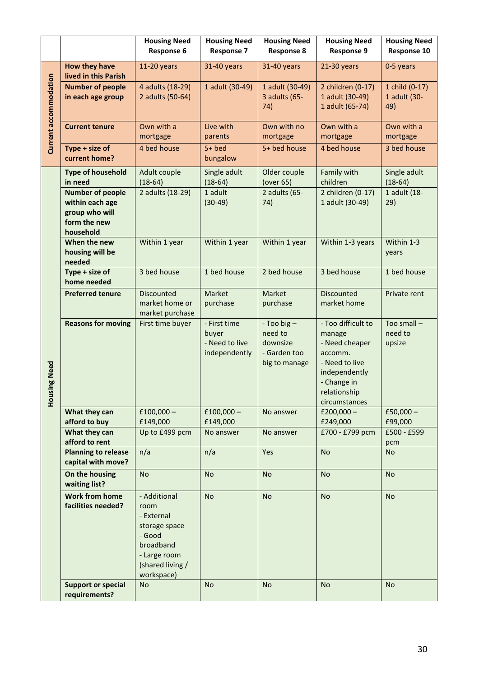|                                 |                                                                                           | <b>Housing Need</b><br><b>Response 6</b>                                                                                     | <b>Housing Need</b><br><b>Response 7</b>                 | <b>Housing Need</b><br><b>Response 8</b>                            | <b>Housing Need</b><br><b>Response 9</b>                                                                                                     | <b>Housing Need</b><br>Response 10    |
|---------------------------------|-------------------------------------------------------------------------------------------|------------------------------------------------------------------------------------------------------------------------------|----------------------------------------------------------|---------------------------------------------------------------------|----------------------------------------------------------------------------------------------------------------------------------------------|---------------------------------------|
|                                 | How they have<br>lived in this Parish                                                     | 11-20 years                                                                                                                  | 31-40 years                                              | 31-40 years                                                         | 21-30 years                                                                                                                                  | 0-5 years                             |
| Current accommodation           | <b>Number of people</b><br>in each age group                                              | 4 adults (18-29)<br>2 adults (50-64)                                                                                         | 1 adult (30-49)                                          | 1 adult (30-49)<br>3 adults (65-<br>74)                             | 2 children (0-17)<br>1 adult (30-49)<br>1 adult (65-74)                                                                                      | 1 child (0-17)<br>1 adult (30-<br>49) |
|                                 | <b>Current tenure</b>                                                                     | Own with a<br>mortgage                                                                                                       | Live with<br>parents                                     | Own with no<br>mortgage                                             | Own with a<br>mortgage                                                                                                                       | Own with a<br>mortgage                |
|                                 | Type + size of<br>current home?                                                           | 4 bed house                                                                                                                  | $5+$ bed<br>bungalow                                     | 5+ bed house                                                        | 4 bed house                                                                                                                                  | 3 bed house                           |
|                                 | <b>Type of household</b><br>in need                                                       | Adult couple<br>$(18-64)$                                                                                                    | Single adult<br>$(18-64)$                                | Older couple<br>(over 65)                                           | Family with<br>children                                                                                                                      | Single adult<br>$(18-64)$             |
|                                 | <b>Number of people</b><br>within each age<br>group who will<br>form the new<br>household | 2 adults (18-29)                                                                                                             | 1 adult<br>$(30-49)$                                     | 2 adults (65-<br>74)                                                | 2 children (0-17)<br>1 adult (30-49)                                                                                                         | 1 adult (18-<br>29)                   |
|                                 | When the new<br>housing will be<br>needed                                                 | Within 1 year                                                                                                                | Within 1 year                                            | Within 1 year                                                       | Within 1-3 years                                                                                                                             | Within 1-3<br>years                   |
|                                 | Type + size of<br>home needed                                                             | 3 bed house                                                                                                                  | 1 bed house                                              | 2 bed house                                                         | 3 bed house                                                                                                                                  | 1 bed house                           |
|                                 | <b>Preferred tenure</b>                                                                   | <b>Discounted</b><br>market home or<br>market purchase                                                                       | Market<br>purchase                                       | Market<br>purchase                                                  | <b>Discounted</b><br>market home                                                                                                             | Private rent                          |
| <b>Ising Need</b><br><b>DoH</b> | <b>Reasons for moving</b>                                                                 | First time buyer                                                                                                             | - First time<br>buyer<br>- Need to live<br>independently | - Too big -<br>need to<br>downsize<br>- Garden too<br>big to manage | - Too difficult to<br>manage<br>- Need cheaper<br>accomm.<br>- Need to live<br>independently<br>- Change in<br>relationship<br>circumstances | Too small -<br>need to<br>upsize      |
|                                 | What they can<br>afford to buy                                                            | $£100,000-$<br>£149,000                                                                                                      | $£100,000-$<br>£149,000                                  | No answer                                                           | £200,000 $-$<br>£249,000                                                                                                                     | £50,000 $-$<br>£99,000                |
|                                 | What they can<br>afford to rent                                                           | Up to £499 pcm                                                                                                               | No answer                                                | No answer                                                           | £700 - £799 pcm                                                                                                                              | £500 - £599<br>pcm                    |
|                                 | <b>Planning to release</b><br>capital with move?                                          | n/a                                                                                                                          | n/a                                                      | Yes                                                                 | <b>No</b>                                                                                                                                    | <b>No</b>                             |
|                                 | On the housing<br>waiting list?                                                           | <b>No</b>                                                                                                                    | <b>No</b>                                                | <b>No</b>                                                           | <b>No</b>                                                                                                                                    | <b>No</b>                             |
|                                 | <b>Work from home</b><br>facilities needed?                                               | - Additional<br>room<br>- External<br>storage space<br>- Good<br>broadband<br>- Large room<br>(shared living /<br>workspace) | <b>No</b>                                                | <b>No</b>                                                           | <b>No</b>                                                                                                                                    | <b>No</b>                             |
|                                 | <b>Support or special</b><br>requirements?                                                | <b>No</b>                                                                                                                    | <b>No</b>                                                | <b>No</b>                                                           | <b>No</b>                                                                                                                                    | <b>No</b>                             |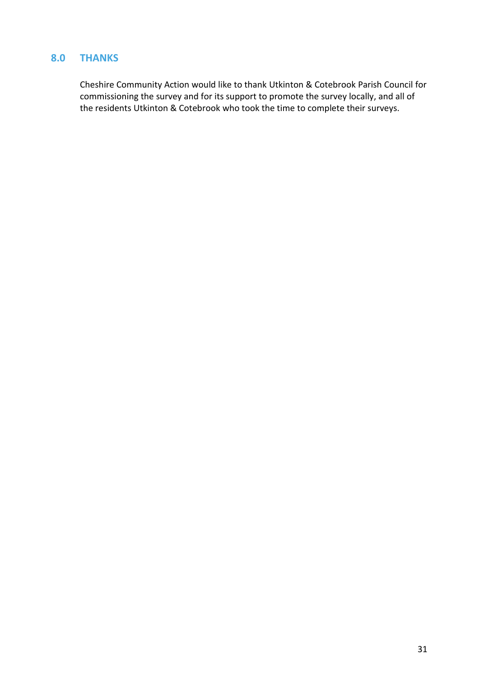## **8.0 THANKS**

Cheshire Community Action would like to thank Utkinton & Cotebrook Parish Council for commissioning the survey and for its support to promote the survey locally, and all of the residents Utkinton & Cotebrook who took the time to complete their surveys.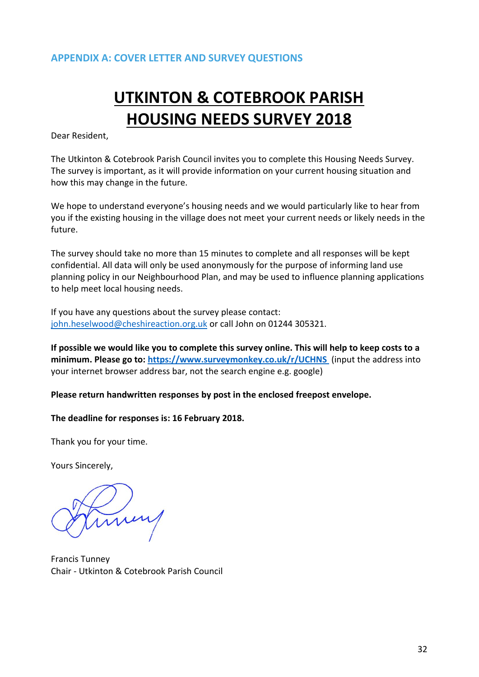# **UTKINTON & COTEBROOK PARISH HOUSING NEEDS SURVEY 2018**

Dear Resident,

The Utkinton & Cotebrook Parish Council invites you to complete this Housing Needs Survey. The survey is important, as it will provide information on your current housing situation and how this may change in the future.

We hope to understand everyone's housing needs and we would particularly like to hear from you if the existing housing in the village does not meet your current needs or likely needs in the future.

The survey should take no more than 15 minutes to complete and all responses will be kept confidential. All data will only be used anonymously for the purpose of informing land use planning policy in our Neighbourhood Plan, and may be used to influence planning applications to help meet local housing needs.

If you have any questions about the survey please contact: [john.heselwood@cheshireaction.org.uk](mailto:john.heselwood@cheshireaction.org.uk) or call John on 01244 305321.

**If possible we would like you to complete this survey online. This will help to keep costs to a minimum. Please go to:<https://www.surveymonkey.co.uk/r/UCHNS>** (input the address into your internet browser address bar, not the search engine e.g. google)

**Please return handwritten responses by post in the enclosed freepost envelope.**

**The deadline for responses is: 16 February 2018.**

Thank you for your time.

Yours Sincerely,

Francis Tunney Chair - Utkinton & Cotebrook Parish Council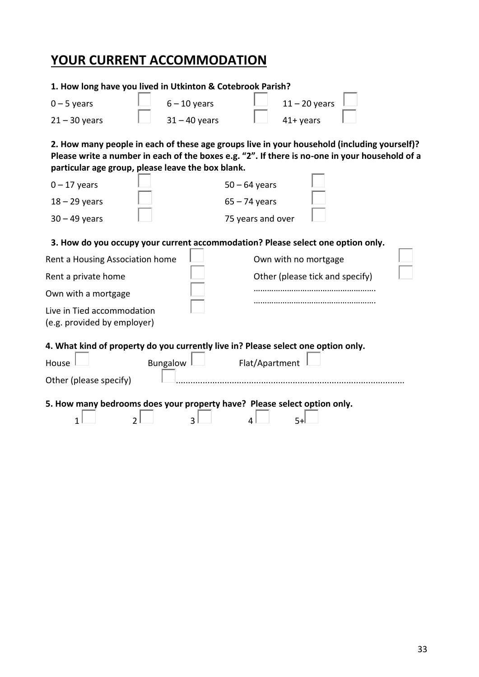# **YOUR CURRENT ACCOMMODATION**

| 1. How long have you lived in Utkinton & Cotebrook Parish?                                                                                                                                                                                         |                 |                   |                                                         |  |
|----------------------------------------------------------------------------------------------------------------------------------------------------------------------------------------------------------------------------------------------------|-----------------|-------------------|---------------------------------------------------------|--|
| $0 - 5$ years                                                                                                                                                                                                                                      | $6 - 10$ years  |                   | $11 - 20$ years                                         |  |
| $21 - 30$ years                                                                                                                                                                                                                                    | $31 - 40$ years |                   | $41+$ years                                             |  |
| 2. How many people in each of these age groups live in your household (including yourself)?<br>Please write a number in each of the boxes e.g. "2". If there is no-one in your household of a<br>particular age group, please leave the box blank. |                 |                   |                                                         |  |
| $0 - 17$ years                                                                                                                                                                                                                                     |                 | $50 - 64$ years   |                                                         |  |
| $18 - 29$ years                                                                                                                                                                                                                                    |                 | $65 - 74$ years   |                                                         |  |
| $30 - 49$ years                                                                                                                                                                                                                                    |                 | 75 years and over |                                                         |  |
| 3. How do you occupy your current accommodation? Please select one option only.<br>Rent a Housing Association home<br>Rent a private home<br>Own with a mortgage<br>Live in Tied accommodation<br>(e.g. provided by employer)                      |                 |                   | Own with no mortgage<br>Other (please tick and specify) |  |
| 4. What kind of property do you currently live in? Please select one option only.<br>House<br>Other (please specify)<br>5. How many bedrooms does your property have? Please select option only.                                                   | <b>Bungalow</b> | Flat/Apartment    |                                                         |  |
| 1                                                                                                                                                                                                                                                  | ς               |                   | 5.                                                      |  |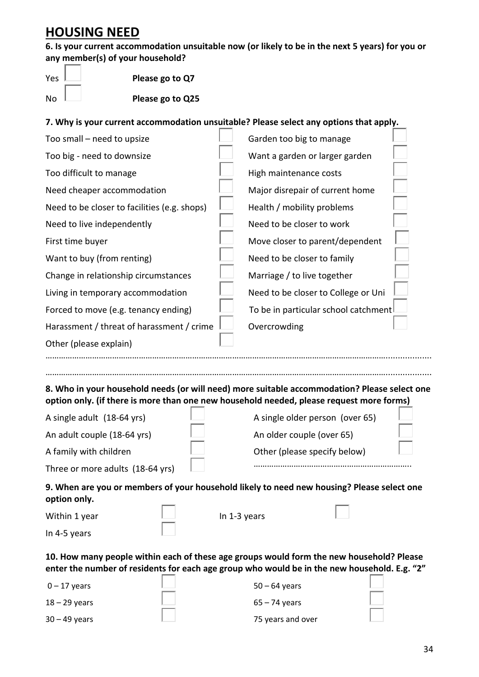# **HOUSING NEED**

**6. Is your current accommodation unsuitable now (or likely to be in the next 5 years) for you or any member(s) of your household?** 

| Yes |  |
|-----|--|
|     |  |
|     |  |

Please go to Q7

No **Let up to Please go to Q25** 

### **7. Why is your current accommodation unsuitable? Please select any options that apply.**

| Too small - need to upsize                                                                   | Garden too big to manage             |  |
|----------------------------------------------------------------------------------------------|--------------------------------------|--|
| Too big - need to downsize                                                                   | Want a garden or larger garden       |  |
| Too difficult to manage                                                                      | High maintenance costs               |  |
| Need cheaper accommodation                                                                   | Major disrepair of current home      |  |
| Need to be closer to facilities (e.g. shops)                                                 | Health / mobility problems           |  |
| Need to live independently                                                                   | Need to be closer to work            |  |
| First time buyer                                                                             | Move closer to parent/dependent      |  |
| Want to buy (from renting)                                                                   | Need to be closer to family          |  |
| Change in relationship circumstances                                                         | Marriage / to live together          |  |
| Living in temporary accommodation                                                            | Need to be closer to College or Uni  |  |
| Forced to move (e.g. tenancy ending)                                                         | To be in particular school catchment |  |
| Harassment / threat of harassment / crime                                                    | Overcrowding                         |  |
| Other (please explain)                                                                       |                                      |  |
|                                                                                              |                                      |  |
|                                                                                              |                                      |  |
| 8. Who in your household needs for will need) more suitable accommodation? Please select one |                                      |  |

**8. Who in your household needs (or will need) more suitable accommodation? Please select one option only. (if there is more than one new household needed, please request more forms)**

| A single adult (18-64 yrs)       | A single older person (over 65) |  |
|----------------------------------|---------------------------------|--|
| An adult couple (18-64 yrs)      | An older couple (over 65)       |  |
| A family with children           | Other (please specify below)    |  |
| Three or more adults (18-64 yrs) |                                 |  |

**9. When are you or members of your household likely to need new housing? Please select one option only.**

| In 4-5 years |                                                                                                                                                                                          |  |
|--------------|------------------------------------------------------------------------------------------------------------------------------------------------------------------------------------------|--|
|              | 10. How many people within each of these age groups would form the new household? Please<br>enter the number of residents for each age group who would be in the new household. F.g. "2" |  |

|                 | - - - - - - - |                   |  |
|-----------------|---------------|-------------------|--|
| $0 - 17$ years  |               | $50 - 64$ years   |  |
| $18 - 29$ years |               | $65 - 74$ years   |  |
| $30 - 49$ years |               | 75 years and over |  |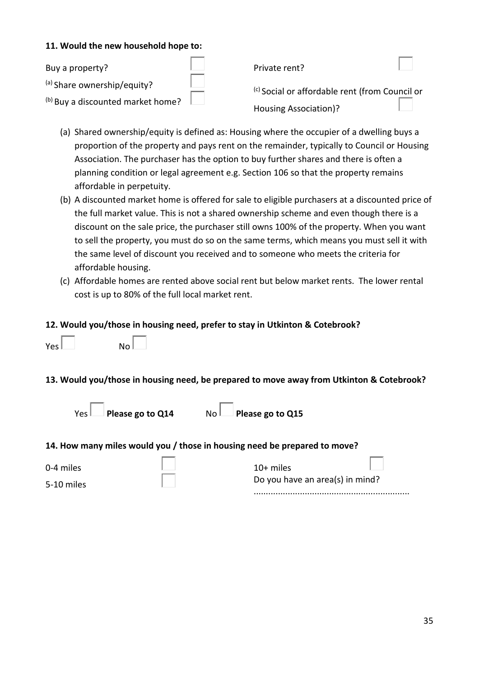#### **11. Would the new household hope to:**

| Buy a property?                   | Private rent?                                             |  |
|-----------------------------------|-----------------------------------------------------------|--|
| (a) Share ownership/equity?       | <sup>(c)</sup> Social or affordable rent (from Council or |  |
| (b) Buy a discounted market home? | Housing Association)?                                     |  |

- (a) Shared ownership/equity is defined as: Housing where the occupier of a dwelling buys a proportion of the property and pays rent on the remainder, typically to Council or Housing Association. The purchaser has the option to buy further shares and there is often a planning condition or legal agreement e.g. Section 106 so that the property remains affordable in perpetuity.
- (b) A discounted market home is offered for sale to eligible purchasers at a discounted price of the full market value. This is not a shared ownership scheme and even though there is a discount on the sale price, the purchaser still owns 100% of the property. When you want to sell the property, you must do so on the same terms, which means you must sell it with the same level of discount you received and to someone who meets the criteria for affordable housing.
- (c) Affordable homes are rented above social rent but below market rents. The lower rental cost is up to 80% of the full local market rent.

#### **12. Would you/those in housing need, prefer to stay in Utkinton & Cotebrook?**

| Yes l | $_{\sf No} $ |
|-------|--------------|
|-------|--------------|

#### **13. Would you/those in housing need, be prepared to move away from Utkinton & Cotebrook?**

| ١<br>r | н<br>г |
|--------|--------|
|        |        |

| ease go to Q14 | $No$ Please go to Q15 |
|----------------|-----------------------|
|                |                       |

#### **14. How many miles would you / those in housing need be prepared to move?**

| 0-4 miles |  |  |
|-----------|--|--|
|-----------|--|--|

5-10 miles

| $10+$ miles                     |  |
|---------------------------------|--|
| Do you have an area(s) in mind? |  |
|                                 |  |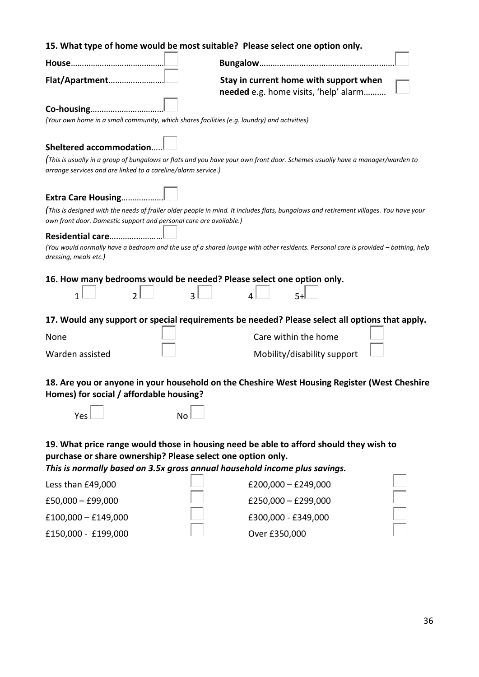| 15. What type of home would be most suitable? Please select one option only.                                                                                                                                                        |                                                                                                                                       |  |
|-------------------------------------------------------------------------------------------------------------------------------------------------------------------------------------------------------------------------------------|---------------------------------------------------------------------------------------------------------------------------------------|--|
|                                                                                                                                                                                                                                     |                                                                                                                                       |  |
| Flat/Apartment                                                                                                                                                                                                                      | Stay in current home with support when<br>needed e.g. home visits, 'help' alarm                                                       |  |
| Co-housing<br>(Your own home in a small community, which shares facilities (e.g. laundry) and activities)                                                                                                                           |                                                                                                                                       |  |
| <b>Sheltered accommodation</b>                                                                                                                                                                                                      |                                                                                                                                       |  |
| arrange services and are linked to a careline/alarm service.)                                                                                                                                                                       | (This is usually in a group of bungalows or flats and you have your own front door. Schemes usually have a manager/warden to          |  |
| Extra Care Housing                                                                                                                                                                                                                  |                                                                                                                                       |  |
| own front door. Domestic support and personal care are available.)                                                                                                                                                                  | (This is designed with the needs of frailer older people in mind. It includes flats, bungalows and retirement villages. You have your |  |
| Residential care<br>(You would normally have a bedroom and the use of a shared lounge with other residents. Personal care is provided - bathing, help<br>dressing, meals etc.)                                                      |                                                                                                                                       |  |
| 16. How many bedrooms would be needed? Please select one option only.<br>$\overline{3}$<br>$\overline{\mathcal{L}}$<br>$5+$<br>1                                                                                                    |                                                                                                                                       |  |
|                                                                                                                                                                                                                                     | 17. Would any support or special requirements be needed? Please select all options that apply.                                        |  |
| None                                                                                                                                                                                                                                | Care within the home                                                                                                                  |  |
| Warden assisted                                                                                                                                                                                                                     | Mobility/disability support                                                                                                           |  |
| 18. Are you or anyone in your household on the Cheshire West Housing Register (West Cheshire<br>Homes) for social / affordable housing?                                                                                             |                                                                                                                                       |  |
| Yes<br><b>No</b>                                                                                                                                                                                                                    |                                                                                                                                       |  |
| 19. What price range would those in housing need be able to afford should they wish to<br>purchase or share ownership? Please select one option only.<br>This is normally based on 3.5x gross annual household income plus savings. |                                                                                                                                       |  |
| Less than £49,000                                                                                                                                                                                                                   | $£200,000 - £249,000$                                                                                                                 |  |
| £50,000 $-$ £99,000                                                                                                                                                                                                                 | £250,000 $-$ £299,000                                                                                                                 |  |
| $£100,000 - £149,000$                                                                                                                                                                                                               | £300,000 - £349,000                                                                                                                   |  |
| £150,000 - £199,000                                                                                                                                                                                                                 | Over £350,000                                                                                                                         |  |

£150,000 - £199,000 Over £350,000

36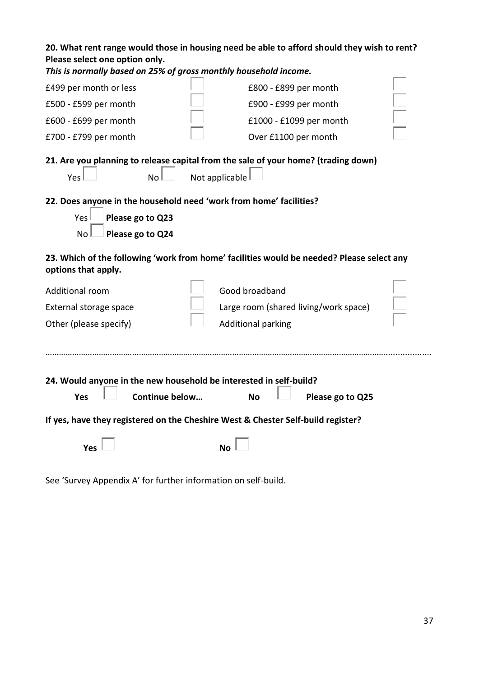| 20. What rent range would those in housing need be able to afford should they wish to rent?<br>Please select one option only.<br>This is normally based on 25% of gross monthly household income. |                                                                                                      |  |
|---------------------------------------------------------------------------------------------------------------------------------------------------------------------------------------------------|------------------------------------------------------------------------------------------------------|--|
| £499 per month or less                                                                                                                                                                            | £800 - £899 per month                                                                                |  |
| £500 - £599 per month                                                                                                                                                                             | £900 - £999 per month                                                                                |  |
| £600 - £699 per month                                                                                                                                                                             | £1000 - £1099 per month                                                                              |  |
| £700 - £799 per month                                                                                                                                                                             | Over £1100 per month                                                                                 |  |
| No l<br>Yes                                                                                                                                                                                       | 21. Are you planning to release capital from the sale of your home? (trading down)<br>Not applicable |  |
| 22. Does anyone in the household need 'work from home' facilities?<br>Please go to Q23<br>Yes<br>No<br>Please go to Q24                                                                           |                                                                                                      |  |
| options that apply.                                                                                                                                                                               | 23. Which of the following 'work from home' facilities would be needed? Please select any            |  |
| Additional room                                                                                                                                                                                   | Good broadband                                                                                       |  |
| External storage space                                                                                                                                                                            | Large room (shared living/work space)                                                                |  |
| Other (please specify)                                                                                                                                                                            | <b>Additional parking</b>                                                                            |  |
|                                                                                                                                                                                                   |                                                                                                      |  |
| 24. Would anyone in the new household be interested in self-build?<br>Continue below<br>Please go to Q25<br>Yes<br><b>No</b>                                                                      |                                                                                                      |  |
|                                                                                                                                                                                                   | If yes, have they registered on the Cheshire West & Chester Self-build register?                     |  |
| Yes                                                                                                                                                                                               | Nο                                                                                                   |  |

See 'Survey Appendix A' for further information on self-build.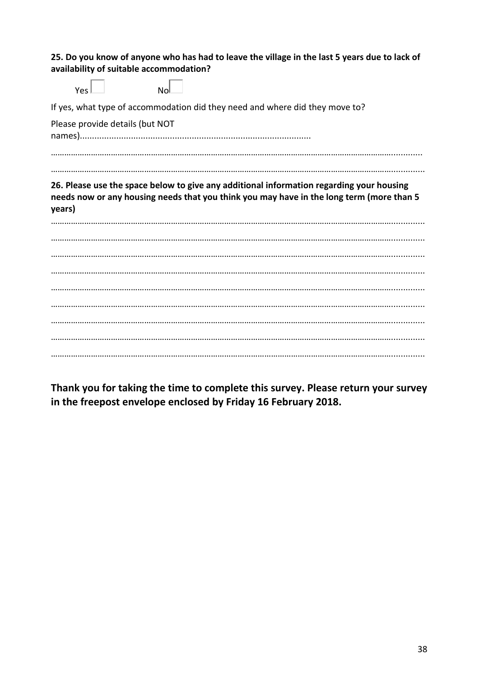| 25. Do you know of anyone who has had to leave the village in the last 5 years due to lack of<br>availability of suitable accommodation? |  |
|------------------------------------------------------------------------------------------------------------------------------------------|--|
| No<br>Yes                                                                                                                                |  |
| If yes, what type of accommodation did they need and where did they move to?                                                             |  |
| Please provide details (but NOT                                                                                                          |  |
|                                                                                                                                          |  |
| 26. Please use the space below to give any additional information regarding your housing                                                 |  |
| needs now or any housing needs that you think you may have in the long term (more than 5<br>years)                                       |  |
|                                                                                                                                          |  |
|                                                                                                                                          |  |
|                                                                                                                                          |  |
|                                                                                                                                          |  |
|                                                                                                                                          |  |
|                                                                                                                                          |  |
|                                                                                                                                          |  |
|                                                                                                                                          |  |

**Thank you for taking the time to complete this survey. Please return your survey in the freepost envelope enclosed by Friday 16 February 2018.**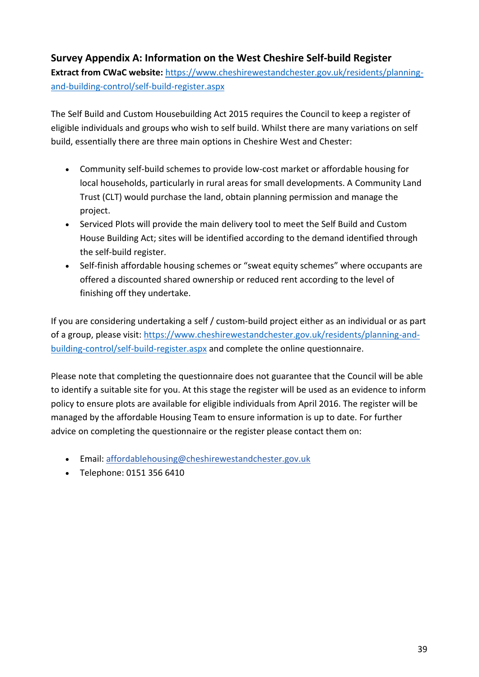## **Survey Appendix A: Information on the West Cheshire Self-build Register**

**Extract from CWaC website:** [https://www.cheshirewestandchester.gov.uk/residents/planning](https://www.cheshirewestandchester.gov.uk/residents/planning-and-building-control/self-build-register.aspx)[and-building-control/self-build-register.aspx](https://www.cheshirewestandchester.gov.uk/residents/planning-and-building-control/self-build-register.aspx)

The Self Build and Custom Housebuilding Act 2015 requires the Council to keep a register of eligible individuals and groups who wish to self build. Whilst there are many variations on self build, essentially there are three main options in Cheshire West and Chester:

- Community self-build schemes to provide low-cost market or affordable housing for local households, particularly in rural areas for small developments. A Community Land Trust (CLT) would purchase the land, obtain planning permission and manage the project.
- Serviced Plots will provide the main delivery tool to meet the Self Build and Custom House Building Act; sites will be identified according to the demand identified through the self-build register.
- Self-finish affordable housing schemes or "sweat equity schemes" where occupants are offered a discounted shared ownership or reduced rent according to the level of finishing off they undertake.

If you are considering undertaking a self / custom-build project either as an individual or as part of a group, please visit[: https://www.cheshirewestandchester.gov.uk/residents/planning-and](https://www.cheshirewestandchester.gov.uk/residents/planning-and-building-control/self-build-register.aspx)[building-control/self-build-register.aspx](https://www.cheshirewestandchester.gov.uk/residents/planning-and-building-control/self-build-register.aspx) and complete the online questionnaire.

Please note that completing the questionnaire does not guarantee that the Council will be able to identify a suitable site for you. At this stage the register will be used as an evidence to inform policy to ensure plots are available for eligible individuals from April 2016. The register will be managed by the affordable Housing Team to ensure information is up to date. For further advice on completing the questionnaire or the register please contact them on:

- Email: [affordablehousing@cheshirewestandchester.gov.uk](mailto:affordablehousing@cheshirewestandchester.gov.uk)
- Telephone: 0151 356 6410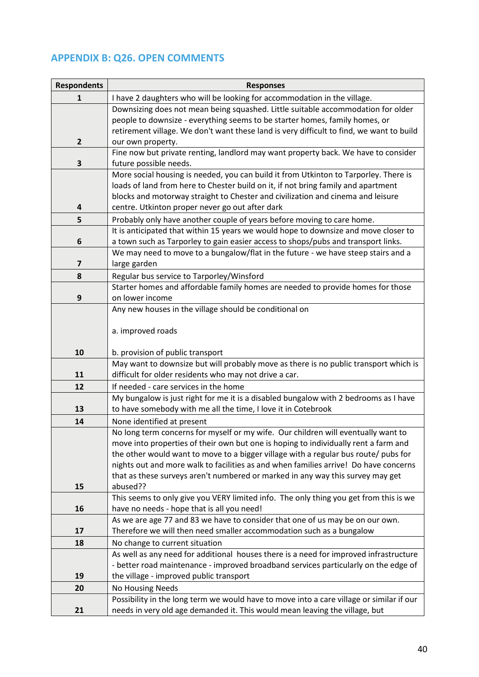# **APPENDIX B: Q26. OPEN COMMENTS**

| <b>Respondents</b>      | <b>Responses</b>                                                                                                                                                     |
|-------------------------|----------------------------------------------------------------------------------------------------------------------------------------------------------------------|
| 1                       | I have 2 daughters who will be looking for accommodation in the village.                                                                                             |
|                         | Downsizing does not mean being squashed. Little suitable accommodation for older                                                                                     |
|                         | people to downsize - everything seems to be starter homes, family homes, or                                                                                          |
|                         | retirement village. We don't want these land is very difficult to find, we want to build                                                                             |
| $\mathbf{2}$            | our own property.                                                                                                                                                    |
|                         | Fine now but private renting, landlord may want property back. We have to consider                                                                                   |
| 3                       | future possible needs.                                                                                                                                               |
|                         | More social housing is needed, you can build it from Utkinton to Tarporley. There is                                                                                 |
|                         | loads of land from here to Chester build on it, if not bring family and apartment<br>blocks and motorway straight to Chester and civilization and cinema and leisure |
| 4                       | centre. Utkinton proper never go out after dark                                                                                                                      |
| 5                       | Probably only have another couple of years before moving to care home.                                                                                               |
|                         | It is anticipated that within 15 years we would hope to downsize and move closer to                                                                                  |
| 6                       | a town such as Tarporley to gain easier access to shops/pubs and transport links.                                                                                    |
|                         | We may need to move to a bungalow/flat in the future - we have steep stairs and a                                                                                    |
| $\overline{\mathbf{z}}$ | large garden                                                                                                                                                         |
| 8                       | Regular bus service to Tarporley/Winsford                                                                                                                            |
|                         | Starter homes and affordable family homes are needed to provide homes for those                                                                                      |
| 9                       | on lower income                                                                                                                                                      |
|                         | Any new houses in the village should be conditional on                                                                                                               |
|                         |                                                                                                                                                                      |
|                         | a. improved roads                                                                                                                                                    |
|                         |                                                                                                                                                                      |
| 10                      | b. provision of public transport<br>May want to downsize but will probably move as there is no public transport which is                                             |
| 11                      | difficult for older residents who may not drive a car.                                                                                                               |
| 12                      | If needed - care services in the home                                                                                                                                |
|                         | My bungalow is just right for me it is a disabled bungalow with 2 bedrooms as I have                                                                                 |
| 13                      | to have somebody with me all the time, I love it in Cotebrook                                                                                                        |
| 14                      | None identified at present                                                                                                                                           |
|                         | No long term concerns for myself or my wife. Our children will eventually want to                                                                                    |
|                         | move into properties of their own but one is hoping to individually rent a farm and                                                                                  |
|                         | the other would want to move to a bigger village with a regular bus route/ pubs for                                                                                  |
|                         | nights out and more walk to facilities as and when families arrive! Do have concerns                                                                                 |
|                         | that as these surveys aren't numbered or marked in any way this survey may get                                                                                       |
| 15                      | abused??                                                                                                                                                             |
|                         | This seems to only give you VERY limited info. The only thing you get from this is we                                                                                |
| 16                      | have no needs - hope that is all you need!<br>As we are age 77 and 83 we have to consider that one of us may be on our own.                                          |
| 17                      | Therefore we will then need smaller accommodation such as a bungalow                                                                                                 |
| 18                      | No change to current situation                                                                                                                                       |
|                         | As well as any need for additional houses there is a need for improved infrastructure                                                                                |
|                         | - better road maintenance - improved broadband services particularly on the edge of                                                                                  |
| 19                      | the village - improved public transport                                                                                                                              |
| 20                      | No Housing Needs                                                                                                                                                     |
|                         | Possibility in the long term we would have to move into a care village or similar if our                                                                             |
| 21                      | needs in very old age demanded it. This would mean leaving the village, but                                                                                          |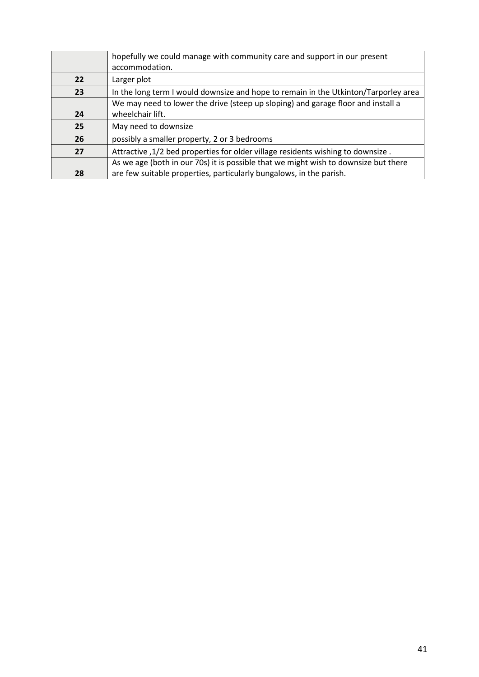|    | hopefully we could manage with community care and support in our present<br>accommodation.           |
|----|------------------------------------------------------------------------------------------------------|
| 22 | Larger plot                                                                                          |
| 23 | In the long term I would downsize and hope to remain in the Utkinton/Tarporley area                  |
| 24 | We may need to lower the drive (steep up sloping) and garage floor and install a<br>wheelchair lift. |
| 25 | May need to downsize                                                                                 |
| 26 | possibly a smaller property, 2 or 3 bedrooms                                                         |
| 27 | Attractive , 1/2 bed properties for older village residents wishing to downsize.                     |
|    | As we age (both in our 70s) it is possible that we might wish to downsize but there                  |
| 28 | are few suitable properties, particularly bungalows, in the parish.                                  |